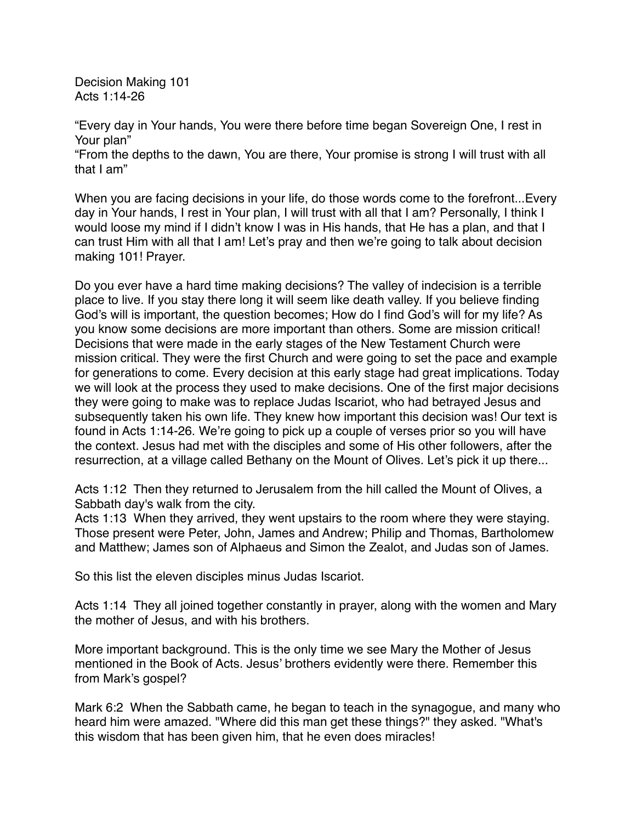Decision Making 101 Acts 1:14-26

"Every day in Your hands, You were there before time began Sovereign One, I rest in Your plan"

"From the depths to the dawn, You are there, Your promise is strong I will trust with all that I am"

When you are facing decisions in your life, do those words come to the forefront...Every day in Your hands, I rest in Your plan, I will trust with all that I am? Personally, I think I would loose my mind if I didn't know I was in His hands, that He has a plan, and that I can trust Him with all that I am! Let's pray and then we're going to talk about decision making 101! Prayer.

Do you ever have a hard time making decisions? The valley of indecision is a terrible place to live. If you stay there long it will seem like death valley. If you believe finding God's will is important, the question becomes; How do I find God's will for my life? As you know some decisions are more important than others. Some are mission critical! Decisions that were made in the early stages of the New Testament Church were mission critical. They were the first Church and were going to set the pace and example for generations to come. Every decision at this early stage had great implications. Today we will look at the process they used to make decisions. One of the first major decisions they were going to make was to replace Judas Iscariot, who had betrayed Jesus and subsequently taken his own life. They knew how important this decision was! Our text is found in Acts 1:14-26. We're going to pick up a couple of verses prior so you will have the context. Jesus had met with the disciples and some of His other followers, after the resurrection, at a village called Bethany on the Mount of Olives. Let's pick it up there...

Acts 1:12 Then they returned to Jerusalem from the hill called the Mount of Olives, a Sabbath day's walk from the city.

Acts 1:13 When they arrived, they went upstairs to the room where they were staying. Those present were Peter, John, James and Andrew; Philip and Thomas, Bartholomew and Matthew; James son of Alphaeus and Simon the Zealot, and Judas son of James.

So this list the eleven disciples minus Judas Iscariot.

Acts 1:14 They all joined together constantly in prayer, along with the women and Mary the mother of Jesus, and with his brothers.

More important background. This is the only time we see Mary the Mother of Jesus mentioned in the Book of Acts. Jesus' brothers evidently were there. Remember this from Mark's gospel?

Mark 6:2 When the Sabbath came, he began to teach in the synagogue, and many who heard him were amazed. "Where did this man get these things?" they asked. "What's this wisdom that has been given him, that he even does miracles!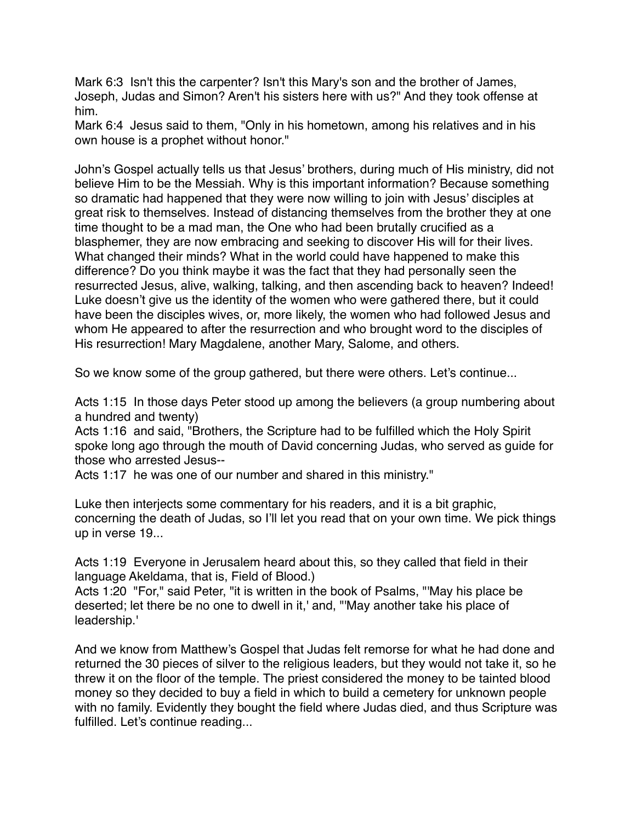Mark 6:3 Isn't this the carpenter? Isn't this Mary's son and the brother of James, Joseph, Judas and Simon? Aren't his sisters here with us?" And they took offense at him.

Mark 6:4 Jesus said to them, "Only in his hometown, among his relatives and in his own house is a prophet without honor."

John's Gospel actually tells us that Jesus' brothers, during much of His ministry, did not believe Him to be the Messiah. Why is this important information? Because something so dramatic had happened that they were now willing to join with Jesus' disciples at great risk to themselves. Instead of distancing themselves from the brother they at one time thought to be a mad man, the One who had been brutally crucified as a blasphemer, they are now embracing and seeking to discover His will for their lives. What changed their minds? What in the world could have happened to make this difference? Do you think maybe it was the fact that they had personally seen the resurrected Jesus, alive, walking, talking, and then ascending back to heaven? Indeed! Luke doesn't give us the identity of the women who were gathered there, but it could have been the disciples wives, or, more likely, the women who had followed Jesus and whom He appeared to after the resurrection and who brought word to the disciples of His resurrection! Mary Magdalene, another Mary, Salome, and others.

So we know some of the group gathered, but there were others. Let's continue...

Acts 1:15 In those days Peter stood up among the believers (a group numbering about a hundred and twenty)

Acts 1:16 and said, "Brothers, the Scripture had to be fulfilled which the Holy Spirit spoke long ago through the mouth of David concerning Judas, who served as guide for those who arrested Jesus--

Acts 1:17 he was one of our number and shared in this ministry."

Luke then interjects some commentary for his readers, and it is a bit graphic, concerning the death of Judas, so I'll let you read that on your own time. We pick things up in verse 19...

Acts 1:19 Everyone in Jerusalem heard about this, so they called that field in their language Akeldama, that is, Field of Blood.)

Acts 1:20 "For," said Peter, "it is written in the book of Psalms, "'May his place be deserted; let there be no one to dwell in it,' and, "'May another take his place of leadership.'

And we know from Matthew's Gospel that Judas felt remorse for what he had done and returned the 30 pieces of silver to the religious leaders, but they would not take it, so he threw it on the floor of the temple. The priest considered the money to be tainted blood money so they decided to buy a field in which to build a cemetery for unknown people with no family. Evidently they bought the field where Judas died, and thus Scripture was fulfilled. Let's continue reading...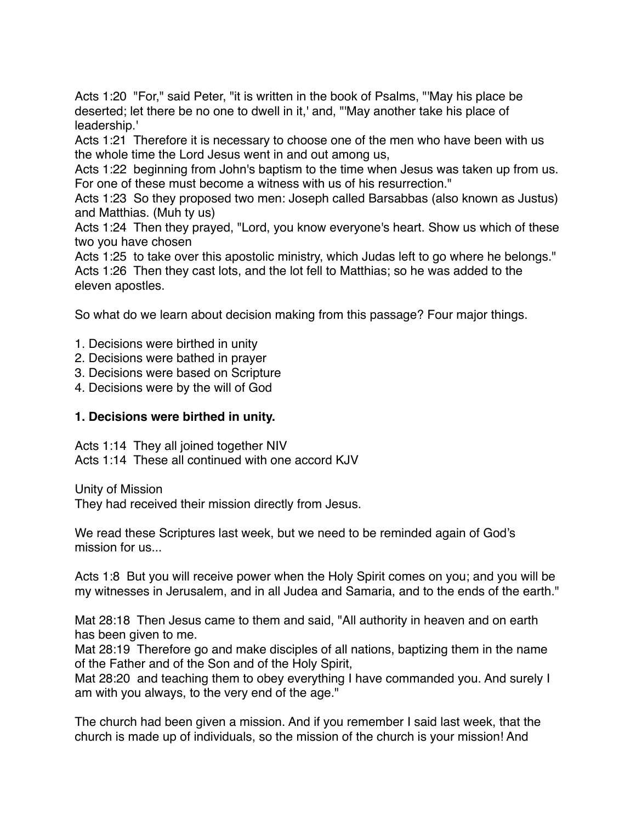Acts 1:20 "For," said Peter, "it is written in the book of Psalms, "'May his place be deserted; let there be no one to dwell in it,' and, "'May another take his place of leadership.'

Acts 1:21 Therefore it is necessary to choose one of the men who have been with us the whole time the Lord Jesus went in and out among us,

Acts 1:22 beginning from John's baptism to the time when Jesus was taken up from us. For one of these must become a witness with us of his resurrection."

Acts 1:23 So they proposed two men: Joseph called Barsabbas (also known as Justus) and Matthias. (Muh ty us)

Acts 1:24 Then they prayed, "Lord, you know everyone's heart. Show us which of these two you have chosen

Acts 1:25 to take over this apostolic ministry, which Judas left to go where he belongs." Acts 1:26 Then they cast lots, and the lot fell to Matthias; so he was added to the eleven apostles.

So what do we learn about decision making from this passage? Four major things.

- 1. Decisions were birthed in unity
- 2. Decisions were bathed in prayer
- 3. Decisions were based on Scripture
- 4. Decisions were by the will of God

## **1. Decisions were birthed in unity.**

Acts 1:14 They all joined together NIV

Acts 1:14 These all continued with one accord KJV

Unity of Mission

They had received their mission directly from Jesus.

We read these Scriptures last week, but we need to be reminded again of God's mission for us...

Acts 1:8 But you will receive power when the Holy Spirit comes on you; and you will be my witnesses in Jerusalem, and in all Judea and Samaria, and to the ends of the earth."

Mat 28:18 Then Jesus came to them and said, "All authority in heaven and on earth has been given to me.

Mat 28:19 Therefore go and make disciples of all nations, baptizing them in the name of the Father and of the Son and of the Holy Spirit,

Mat 28:20 and teaching them to obey everything I have commanded you. And surely I am with you always, to the very end of the age."

The church had been given a mission. And if you remember I said last week, that the church is made up of individuals, so the mission of the church is your mission! And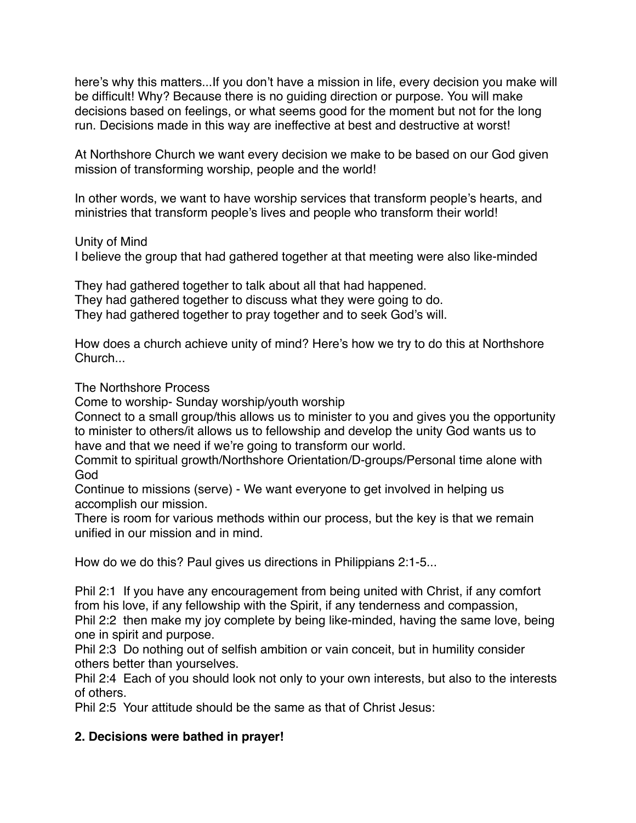here's why this matters...If you don't have a mission in life, every decision you make will be difficult! Why? Because there is no guiding direction or purpose. You will make decisions based on feelings, or what seems good for the moment but not for the long run. Decisions made in this way are ineffective at best and destructive at worst!

At Northshore Church we want every decision we make to be based on our God given mission of transforming worship, people and the world!

In other words, we want to have worship services that transform people's hearts, and ministries that transform people's lives and people who transform their world!

Unity of Mind

I believe the group that had gathered together at that meeting were also like-minded

They had gathered together to talk about all that had happened. They had gathered together to discuss what they were going to do. They had gathered together to pray together and to seek God's will.

How does a church achieve unity of mind? Here's how we try to do this at Northshore **Church...** 

The Northshore Process

Come to worship- Sunday worship/youth worship

Connect to a small group/this allows us to minister to you and gives you the opportunity to minister to others/it allows us to fellowship and develop the unity God wants us to have and that we need if we're going to transform our world.

Commit to spiritual growth/Northshore Orientation/D-groups/Personal time alone with God

Continue to missions (serve) - We want everyone to get involved in helping us accomplish our mission.

There is room for various methods within our process, but the key is that we remain unified in our mission and in mind.

How do we do this? Paul gives us directions in Philippians 2:1-5...

Phil 2:1 If you have any encouragement from being united with Christ, if any comfort from his love, if any fellowship with the Spirit, if any tenderness and compassion, Phil 2:2 then make my joy complete by being like-minded, having the same love, being one in spirit and purpose.

Phil 2:3 Do nothing out of selfish ambition or vain conceit, but in humility consider others better than yourselves.

Phil 2:4 Each of you should look not only to your own interests, but also to the interests of others.

Phil 2:5 Your attitude should be the same as that of Christ Jesus:

## **2. Decisions were bathed in prayer!**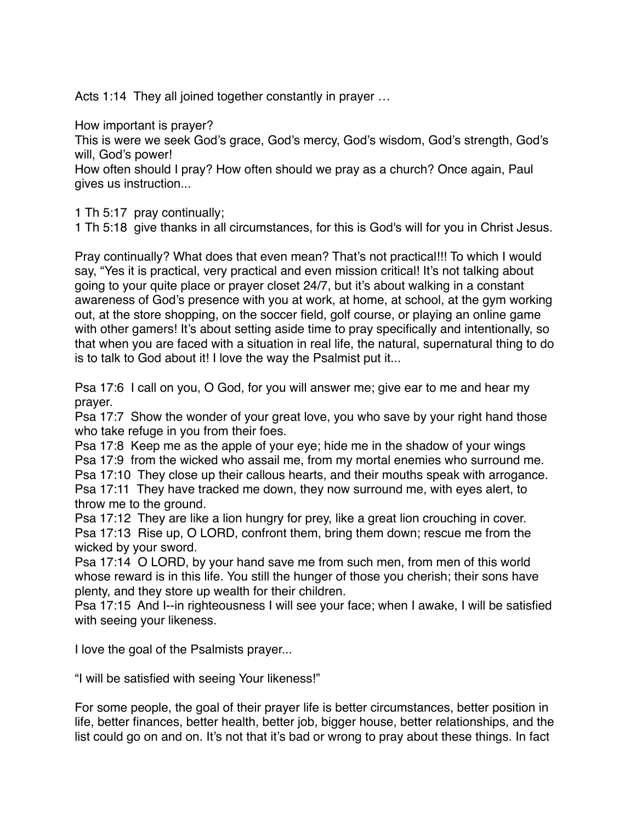Acts 1:14 They all joined together constantly in prayer ...

How important is prayer?

This is were we seek God's grace, God's mercy, God's wisdom, God's strength, God's will, God's power!

How often should I pray? How often should we pray as a church? Once again, Paul gives us instruction...

1 Th 5:17 pray continually;

1 Th 5:18 give thanks in all circumstances, for this is God's will for you in Christ Jesus.

Pray continually? What does that even mean? That's not practical!!! To which I would say, "Yes it is practical, very practical and even mission critical! It's not talking about going to your quite place or prayer closet 24/7, but it's about walking in a constant awareness of God's presence with you at work, at home, at school, at the gym working out, at the store shopping, on the soccer field, golf course, or playing an online game with other gamers! It's about setting aside time to pray specifically and intentionally, so that when you are faced with a situation in real life, the natural, supernatural thing to do is to talk to God about it! I love the way the Psalmist put it...

Psa 17:6 I call on you, O God, for you will answer me; give ear to me and hear my prayer.

Psa 17:7 Show the wonder of your great love, you who save by your right hand those who take refuge in you from their foes.

Psa 17:8 Keep me as the apple of your eye; hide me in the shadow of your wings Psa 17:9 from the wicked who assail me, from my mortal enemies who surround me. Psa 17:10 They close up their callous hearts, and their mouths speak with arrogance. Psa 17:11 They have tracked me down, they now surround me, with eyes alert, to throw me to the ground.

Psa 17:12 They are like a lion hungry for prey, like a great lion crouching in cover. Psa 17:13 Rise up, O LORD, confront them, bring them down; rescue me from the wicked by your sword.

Psa 17:14 O LORD, by your hand save me from such men, from men of this world whose reward is in this life. You still the hunger of those you cherish; their sons have plenty, and they store up wealth for their children.

Psa 17:15 And I--in righteousness I will see your face; when I awake, I will be satisfied with seeing your likeness.

I love the goal of the Psalmists prayer...

"I will be satisfied with seeing Your likeness!"

For some people, the goal of their prayer life is better circumstances, better position in life, better finances, better health, better job, bigger house, better relationships, and the list could go on and on. It's not that it's bad or wrong to pray about these things. In fact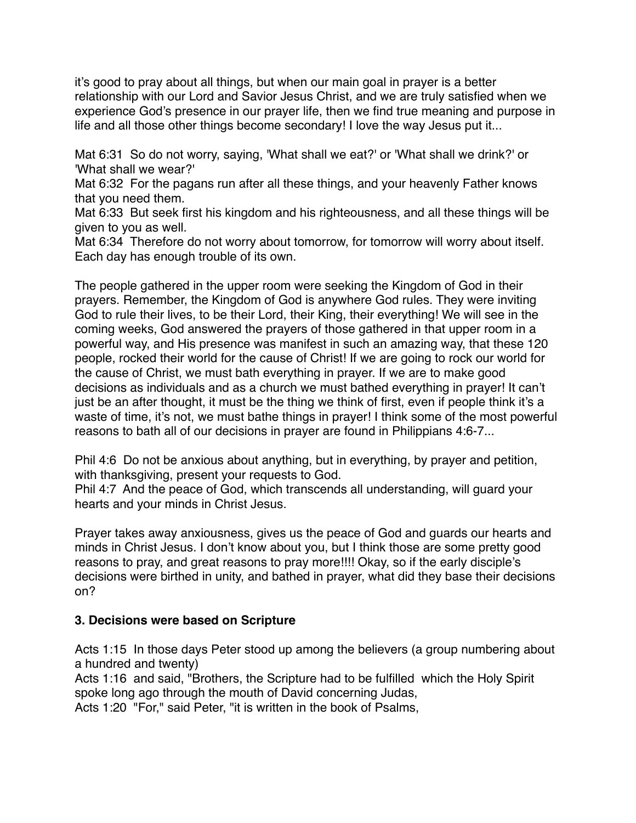it's good to pray about all things, but when our main goal in prayer is a better relationship with our Lord and Savior Jesus Christ, and we are truly satisfied when we experience God's presence in our prayer life, then we find true meaning and purpose in life and all those other things become secondary! I love the way Jesus put it...

Mat 6:31 So do not worry, saying, 'What shall we eat?' or 'What shall we drink?' or 'What shall we wear?'

Mat 6:32 For the pagans run after all these things, and your heavenly Father knows that you need them.

Mat 6:33 But seek first his kingdom and his righteousness, and all these things will be given to you as well.

Mat 6:34 Therefore do not worry about tomorrow, for tomorrow will worry about itself. Each day has enough trouble of its own.

The people gathered in the upper room were seeking the Kingdom of God in their prayers. Remember, the Kingdom of God is anywhere God rules. They were inviting God to rule their lives, to be their Lord, their King, their everything! We will see in the coming weeks, God answered the prayers of those gathered in that upper room in a powerful way, and His presence was manifest in such an amazing way, that these 120 people, rocked their world for the cause of Christ! If we are going to rock our world for the cause of Christ, we must bath everything in prayer. If we are to make good decisions as individuals and as a church we must bathed everything in prayer! It can't just be an after thought, it must be the thing we think of first, even if people think it's a waste of time, it's not, we must bathe things in prayer! I think some of the most powerful reasons to bath all of our decisions in prayer are found in Philippians 4:6-7...

Phil 4:6 Do not be anxious about anything, but in everything, by prayer and petition, with thanksgiving, present your requests to God.

Phil 4:7 And the peace of God, which transcends all understanding, will guard your hearts and your minds in Christ Jesus.

Prayer takes away anxiousness, gives us the peace of God and guards our hearts and minds in Christ Jesus. I don't know about you, but I think those are some pretty good reasons to pray, and great reasons to pray more!!!! Okay, so if the early disciple's decisions were birthed in unity, and bathed in prayer, what did they base their decisions on?

## **3. Decisions were based on Scripture**

Acts 1:15 In those days Peter stood up among the believers (a group numbering about a hundred and twenty)

Acts 1:16 and said, "Brothers, the Scripture had to be fulfilled which the Holy Spirit spoke long ago through the mouth of David concerning Judas,

Acts 1:20 "For," said Peter, "it is written in the book of Psalms,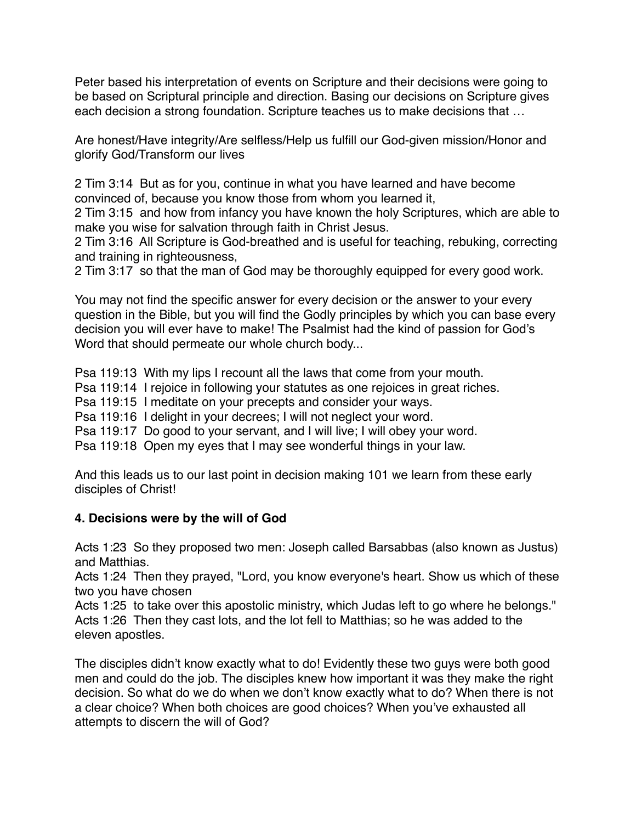Peter based his interpretation of events on Scripture and their decisions were going to be based on Scriptural principle and direction. Basing our decisions on Scripture gives each decision a strong foundation. Scripture teaches us to make decisions that …

Are honest/Have integrity/Are selfless/Help us fulfill our God-given mission/Honor and glorify God/Transform our lives

2 Tim 3:14 But as for you, continue in what you have learned and have become convinced of, because you know those from whom you learned it,

2 Tim 3:15 and how from infancy you have known the holy Scriptures, which are able to make you wise for salvation through faith in Christ Jesus.

2 Tim 3:16 All Scripture is God-breathed and is useful for teaching, rebuking, correcting and training in righteousness,

2 Tim 3:17 so that the man of God may be thoroughly equipped for every good work.

You may not find the specific answer for every decision or the answer to your every question in the Bible, but you will find the Godly principles by which you can base every decision you will ever have to make! The Psalmist had the kind of passion for God's Word that should permeate our whole church body...

Psa 119:13 With my lips I recount all the laws that come from your mouth.

Psa 119:14 I rejoice in following your statutes as one rejoices in great riches.

Psa 119:15 I meditate on your precepts and consider your ways.

Psa 119:16 I delight in your decrees; I will not neglect your word.

Psa 119:17 Do good to your servant, and I will live; I will obey your word.

Psa 119:18 Open my eyes that I may see wonderful things in your law.

And this leads us to our last point in decision making 101 we learn from these early disciples of Christ!

## **4. Decisions were by the will of God**

Acts 1:23 So they proposed two men: Joseph called Barsabbas (also known as Justus) and Matthias.

Acts 1:24 Then they prayed, "Lord, you know everyone's heart. Show us which of these two you have chosen

Acts 1:25 to take over this apostolic ministry, which Judas left to go where he belongs." Acts 1:26 Then they cast lots, and the lot fell to Matthias; so he was added to the eleven apostles.

The disciples didn't know exactly what to do! Evidently these two guys were both good men and could do the job. The disciples knew how important it was they make the right decision. So what do we do when we don't know exactly what to do? When there is not a clear choice? When both choices are good choices? When you've exhausted all attempts to discern the will of God?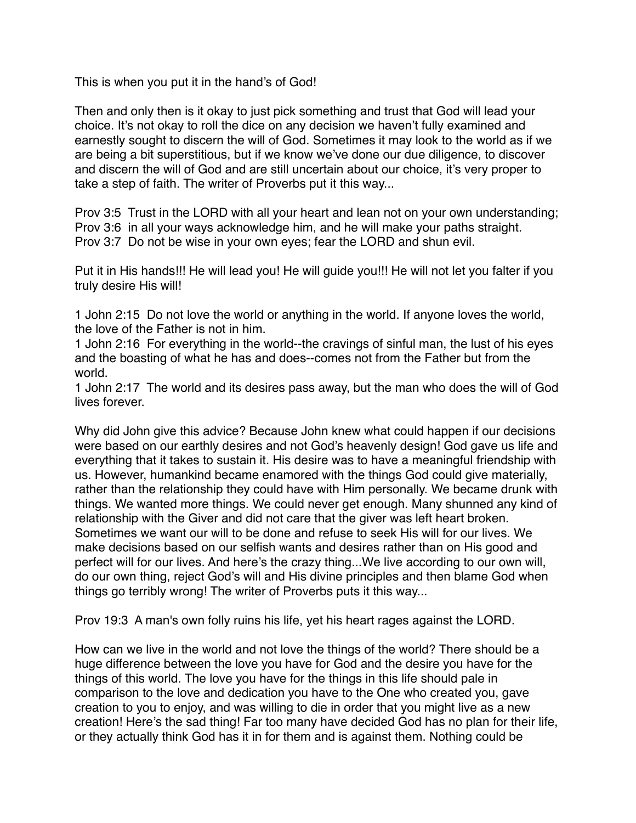This is when you put it in the hand's of God!

Then and only then is it okay to just pick something and trust that God will lead your choice. It's not okay to roll the dice on any decision we haven't fully examined and earnestly sought to discern the will of God. Sometimes it may look to the world as if we are being a bit superstitious, but if we know we've done our due diligence, to discover and discern the will of God and are still uncertain about our choice, it's very proper to take a step of faith. The writer of Proverbs put it this way...

Prov 3:5 Trust in the LORD with all your heart and lean not on your own understanding; Prov 3:6 in all your ways acknowledge him, and he will make your paths straight. Prov 3:7 Do not be wise in your own eyes; fear the LORD and shun evil.

Put it in His hands!!! He will lead you! He will guide you!!! He will not let you falter if you truly desire His will!

1 John 2:15 Do not love the world or anything in the world. If anyone loves the world, the love of the Father is not in him.

1 John 2:16 For everything in the world--the cravings of sinful man, the lust of his eyes and the boasting of what he has and does--comes not from the Father but from the world.

1 John 2:17 The world and its desires pass away, but the man who does the will of God lives forever

Why did John give this advice? Because John knew what could happen if our decisions were based on our earthly desires and not God's heavenly design! God gave us life and everything that it takes to sustain it. His desire was to have a meaningful friendship with us. However, humankind became enamored with the things God could give materially, rather than the relationship they could have with Him personally. We became drunk with things. We wanted more things. We could never get enough. Many shunned any kind of relationship with the Giver and did not care that the giver was left heart broken. Sometimes we want our will to be done and refuse to seek His will for our lives. We make decisions based on our selfish wants and desires rather than on His good and perfect will for our lives. And here's the crazy thing...We live according to our own will, do our own thing, reject God's will and His divine principles and then blame God when things go terribly wrong! The writer of Proverbs puts it this way...

Prov 19:3 A man's own folly ruins his life, yet his heart rages against the LORD.

How can we live in the world and not love the things of the world? There should be a huge difference between the love you have for God and the desire you have for the things of this world. The love you have for the things in this life should pale in comparison to the love and dedication you have to the One who created you, gave creation to you to enjoy, and was willing to die in order that you might live as a new creation! Here's the sad thing! Far too many have decided God has no plan for their life, or they actually think God has it in for them and is against them. Nothing could be